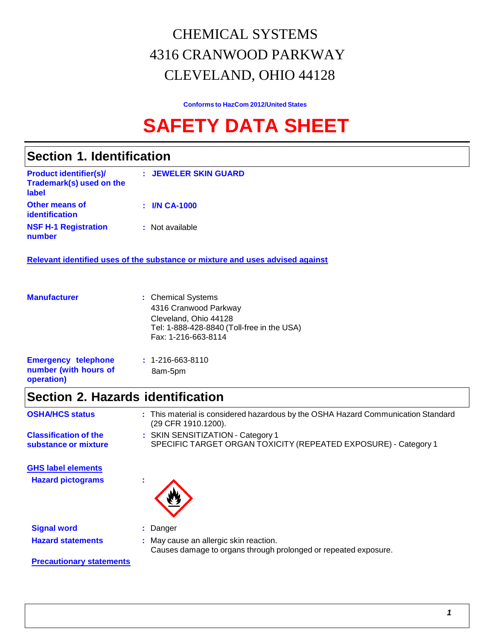# CHEMICAL SYSTEMS 4316 CRANWOOD PARKWAY CLEVELAND, OHIO 44128

**Conforms to HazCom 2012/United States**

# **SAFETY DATA SHEET**

## **Section 1. Identification**

| <b>Product identifier(s)/</b><br>Trademark(s) used on the<br>label | : JEWELER SKIN GUARD |
|--------------------------------------------------------------------|----------------------|
| <b>Other means of</b><br>identification                            | $:$ I/N CA-1000      |
| <b>NSF H-1 Registration</b><br>number                              | : Not available      |

**Relevant identified uses of the substance or mixture and uses advised against**

| <b>Manufacturer</b>                                               | : Chemical Systems<br>4316 Cranwood Parkway<br>Cleveland, Ohio 44128<br>Tel: 1-888-428-8840 (Toll-free in the USA)<br>Fax: 1-216-663-8114 |
|-------------------------------------------------------------------|-------------------------------------------------------------------------------------------------------------------------------------------|
| <b>Emergency telephone</b><br>number (with hours of<br>operation) | $: 1 - 216 - 663 - 8110$<br>8am-5pm                                                                                                       |

# **Section 2. Hazards identification**

| <b>OSHA/HCS status</b>                               | : This material is considered hazardous by the OSHA Hazard Communication Standard<br>(29 CFR 1910.1200).  |
|------------------------------------------------------|-----------------------------------------------------------------------------------------------------------|
| <b>Classification of the</b><br>substance or mixture | : SKIN SENSITIZATION - Category 1<br>SPECIFIC TARGET ORGAN TOXICITY (REPEATED EXPOSURE) - Category 1      |
| <b>GHS label elements</b>                            |                                                                                                           |
| <b>Hazard pictograms</b>                             |                                                                                                           |
| <b>Signal word</b>                                   | : Danger                                                                                                  |
| <b>Hazard statements</b>                             | : May cause an allergic skin reaction.<br>Causes damage to organs through prolonged or repeated exposure. |
| <b>Precautionary statements</b>                      |                                                                                                           |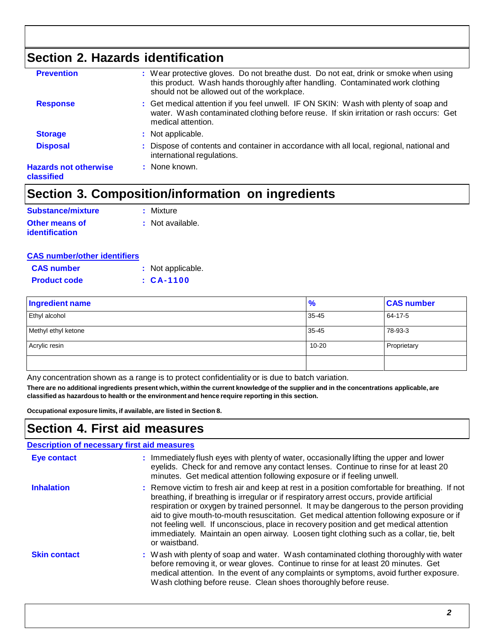# **Section 2. Hazards identification**

| : Dispose of contents and container in accordance with all local, regional, national and<br>international regulations.<br>: None known.                                                                               |
|-----------------------------------------------------------------------------------------------------------------------------------------------------------------------------------------------------------------------|
| : Not applicable.                                                                                                                                                                                                     |
| : Get medical attention if you feel unwell. IF ON SKIN: Wash with plenty of soap and<br>water. Wash contaminated clothing before reuse. If skin irritation or rash occurs: Get<br>medical attention.                  |
| : Wear protective gloves. Do not breathe dust. Do not eat, drink or smoke when using<br>this product. Wash hands thoroughly after handling. Contaminated work clothing<br>should not be allowed out of the workplace. |
|                                                                                                                                                                                                                       |

# **Section 3. Composition/information on ingredients**

| Substance/mixture     | : Mixture        |
|-----------------------|------------------|
| <b>Other means of</b> | : Not available. |
| <b>identification</b> |                  |

|  | <b>CAS number/other identifiers</b> |
|--|-------------------------------------|
|  |                                     |

| <b>CAS number</b>   | : Not applicable. |
|---------------------|-------------------|
| <b>Product code</b> | $: CA-1100$       |

| <b>Ingredient name</b> | $\frac{9}{6}$ | <b>CAS number</b> |
|------------------------|---------------|-------------------|
| Ethyl alcohol          | 35-45         | 64-17-5           |
| Methyl ethyl ketone    | $35 - 45$     | 78-93-3           |
| Acrylic resin          | $10 - 20$     | Proprietary       |
|                        |               |                   |

Any concentration shown as a range is to protect confidentiality or is due to batch variation.

There are no additional ingredients present which, within the current knowledge of the supplier and in the concentrations applicable, are **classified as hazardous to health or the environment and hence require reporting in this section.**

**Occupational exposure limits, if available, are listed in Section 8.**

## **Section 4. First aid measures**

| <b>Description of necessary first aid measures</b> |                                                                                                                                                                                                                                                                                                                                                                                                                                                                                                                                                                                        |
|----------------------------------------------------|----------------------------------------------------------------------------------------------------------------------------------------------------------------------------------------------------------------------------------------------------------------------------------------------------------------------------------------------------------------------------------------------------------------------------------------------------------------------------------------------------------------------------------------------------------------------------------------|
| <b>Eye contact</b>                                 | : Immediately flush eyes with plenty of water, occasionally lifting the upper and lower<br>eyelids. Check for and remove any contact lenses. Continue to rinse for at least 20<br>minutes. Get medical attention following exposure or if feeling unwell.                                                                                                                                                                                                                                                                                                                              |
| <b>Inhalation</b>                                  | : Remove victim to fresh air and keep at rest in a position comfortable for breathing. If not<br>breathing, if breathing is irregular or if respiratory arrest occurs, provide artificial<br>respiration or oxygen by trained personnel. It may be dangerous to the person providing<br>aid to give mouth-to-mouth resuscitation. Get medical attention following exposure or if<br>not feeling well. If unconscious, place in recovery position and get medical attention<br>immediately. Maintain an open airway. Loosen tight clothing such as a collar, tie, belt<br>or waistband. |
| <b>Skin contact</b>                                | : Wash with plenty of soap and water. Wash contaminated clothing thoroughly with water<br>before removing it, or wear gloves. Continue to rinse for at least 20 minutes. Get<br>medical attention. In the event of any complaints or symptoms, avoid further exposure.<br>Wash clothing before reuse. Clean shoes thoroughly before reuse.                                                                                                                                                                                                                                             |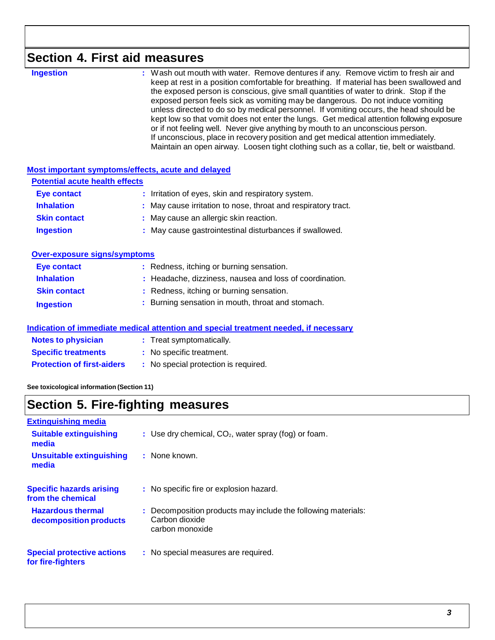# **Section 4. First aid measures**

| <b>Ingestion</b> | : Wash out mouth with water. Remove dentures if any. Remove victim to fresh air and<br>keep at rest in a position comfortable for breathing. If material has been swallowed and<br>the exposed person is conscious, give small quantities of water to drink. Stop if the<br>exposed person feels sick as vomiting may be dangerous. Do not induce vomiting<br>unless directed to do so by medical personnel. If vomiting occurs, the head should be<br>kept low so that vomit does not enter the lungs. Get medical attention following exposure<br>or if not feeling well. Never give anything by mouth to an unconscious person.<br>If unconscious, place in recovery position and get medical attention immediately.<br>Maintain an open airway. Loosen tight clothing such as a collar, tie, belt or waistband. |
|------------------|---------------------------------------------------------------------------------------------------------------------------------------------------------------------------------------------------------------------------------------------------------------------------------------------------------------------------------------------------------------------------------------------------------------------------------------------------------------------------------------------------------------------------------------------------------------------------------------------------------------------------------------------------------------------------------------------------------------------------------------------------------------------------------------------------------------------|
|                  |                                                                                                                                                                                                                                                                                                                                                                                                                                                                                                                                                                                                                                                                                                                                                                                                                     |

#### **Most important symptoms/effects, acute and delayed**

| <b>Potential acute health effects</b> |                                                               |
|---------------------------------------|---------------------------------------------------------------|
| <b>Eye contact</b>                    | : Irritation of eyes, skin and respiratory system.            |
| <b>Inhalation</b>                     | : May cause irritation to nose, throat and respiratory tract. |
| <b>Skin contact</b>                   | : May cause an allergic skin reaction.                        |
| <b>Ingestion</b>                      | : May cause gastrointestinal disturbances if swallowed.       |

#### **Over-exposure signs/symptoms**

| Eye contact         | : Redness, itching or burning sensation.                |
|---------------------|---------------------------------------------------------|
| <b>Inhalation</b>   | : Headache, dizziness, nausea and loss of coordination. |
| <b>Skin contact</b> | : Redness, itching or burning sensation.                |
| <b>Ingestion</b>    | : Burning sensation in mouth, throat and stomach.       |

#### **Indication of immediate medical attention and special treatment needed, if necessary**

| <b>Notes to physician</b>         | : Treat symptomatically.             |
|-----------------------------------|--------------------------------------|
| <b>Specific treatments</b>        | : No specific treatment.             |
| <b>Protection of first-aiders</b> | : No special protection is required. |

**See toxicological information (Section 11)**

# **Section 5. Fire-fighting measures**

| <b>Extinguishing media</b>                             |                                                                                                    |
|--------------------------------------------------------|----------------------------------------------------------------------------------------------------|
| <b>Suitable extinguishing</b><br>media                 | : Use dry chemical, $CO2$ , water spray (fog) or foam.                                             |
| Unsuitable extinguishing<br>media                      | : None known.                                                                                      |
| <b>Specific hazards arising</b><br>from the chemical   | : No specific fire or explosion hazard.                                                            |
| <b>Hazardous thermal</b><br>decomposition products     | : Decomposition products may include the following materials:<br>Carbon dioxide<br>carbon monoxide |
| <b>Special protective actions</b><br>for fire-fighters | : No special measures are required.                                                                |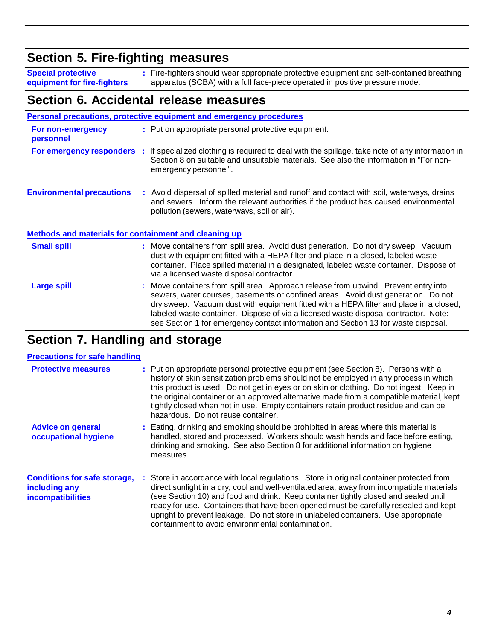## **Section 5. Fire-fighting measures**

**Special protective equipment for fire-fighters**

**:** Fire-fighters should wear appropriate protective equipment and self-contained breathing apparatus (SCBA) with a full face-piece operated in positive pressure mode.

## **Section 6. Accidental release measures**

|                                                              | <b>Personal precautions, protective equipment and emergency procedures</b>                                                                                                                                                                                                                                                                                                                                                                      |
|--------------------------------------------------------------|-------------------------------------------------------------------------------------------------------------------------------------------------------------------------------------------------------------------------------------------------------------------------------------------------------------------------------------------------------------------------------------------------------------------------------------------------|
| For non-emergency<br>personnel                               | : Put on appropriate personal protective equipment.                                                                                                                                                                                                                                                                                                                                                                                             |
|                                                              | For emergency responders : If specialized clothing is required to deal with the spillage, take note of any information in<br>Section 8 on suitable and unsuitable materials. See also the information in "For non-<br>emergency personnel".                                                                                                                                                                                                     |
| <b>Environmental precautions</b>                             | : Avoid dispersal of spilled material and runoff and contact with soil, waterways, drains<br>and sewers. Inform the relevant authorities if the product has caused environmental<br>pollution (sewers, waterways, soil or air).                                                                                                                                                                                                                 |
| <b>Methods and materials for containment and cleaning up</b> |                                                                                                                                                                                                                                                                                                                                                                                                                                                 |
| <b>Small spill</b>                                           | : Move containers from spill area. Avoid dust generation. Do not dry sweep. Vacuum<br>dust with equipment fitted with a HEPA filter and place in a closed, labeled waste<br>container. Place spilled material in a designated, labeled waste container. Dispose of<br>via a licensed waste disposal contractor.                                                                                                                                 |
| Large spill                                                  | : Move containers from spill area. Approach release from upwind. Prevent entry into<br>sewers, water courses, basements or confined areas. Avoid dust generation. Do not<br>dry sweep. Vacuum dust with equipment fitted with a HEPA filter and place in a closed,<br>labeled waste container. Dispose of via a licensed waste disposal contractor. Note:<br>see Section 1 for emergency contact information and Section 13 for waste disposal. |

# **Section 7. Handling and storage**

#### **Precautions for safe handling**

| <b>Protective measures</b>                                                       | : Put on appropriate personal protective equipment (see Section 8). Persons with a<br>history of skin sensitization problems should not be employed in any process in which<br>this product is used. Do not get in eyes or on skin or clothing. Do not ingest. Keep in<br>the original container or an approved alternative made from a compatible material, kept<br>tightly closed when not in use. Empty containers retain product residue and can be<br>hazardous. Do not reuse container.                 |
|----------------------------------------------------------------------------------|---------------------------------------------------------------------------------------------------------------------------------------------------------------------------------------------------------------------------------------------------------------------------------------------------------------------------------------------------------------------------------------------------------------------------------------------------------------------------------------------------------------|
| <b>Advice on general</b><br>occupational hygiene                                 | : Eating, drinking and smoking should be prohibited in areas where this material is<br>handled, stored and processed. Workers should wash hands and face before eating,<br>drinking and smoking. See also Section 8 for additional information on hygiene<br>measures.                                                                                                                                                                                                                                        |
| <b>Conditions for safe storage,</b><br>including any<br><b>incompatibilities</b> | : Store in accordance with local regulations. Store in original container protected from<br>direct sunlight in a dry, cool and well-ventilated area, away from incompatible materials<br>(see Section 10) and food and drink. Keep container tightly closed and sealed until<br>ready for use. Containers that have been opened must be carefully resealed and kept<br>upright to prevent leakage. Do not store in unlabeled containers. Use appropriate<br>containment to avoid environmental contamination. |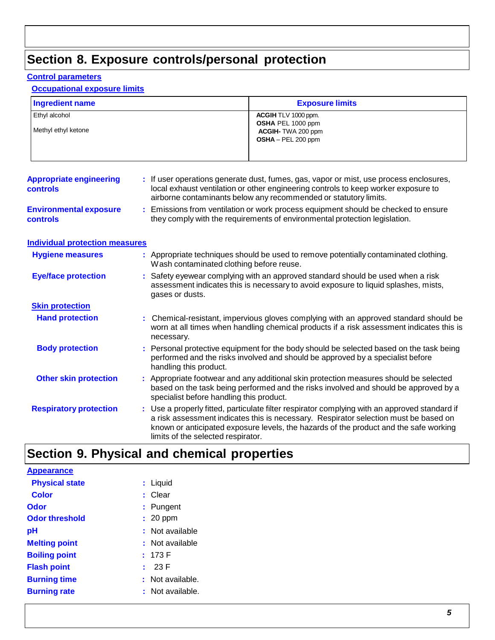# **Section 8. Exposure controls/personal protection**

#### **Control parameters**

#### **Occupational exposure limits**

| <b>Ingredient name</b>                            |  | <b>Exposure limits</b>                                                                                                                                                                                                                                                                                               |  |
|---------------------------------------------------|--|----------------------------------------------------------------------------------------------------------------------------------------------------------------------------------------------------------------------------------------------------------------------------------------------------------------------|--|
| Ethyl alcohol<br>Methyl ethyl ketone              |  | ACGIH TLV 1000 ppm.<br>OSHA PEL 1000 ppm<br>ACGIH-TWA 200 ppm<br>OSHA - PEL 200 ppm                                                                                                                                                                                                                                  |  |
| <b>Appropriate engineering</b><br><b>controls</b> |  | : If user operations generate dust, fumes, gas, vapor or mist, use process enclosures,<br>local exhaust ventilation or other engineering controls to keep worker exposure to<br>airborne contaminants below any recommended or statutory limits.                                                                     |  |
| <b>Environmental exposure</b><br><b>controls</b>  |  | Emissions from ventilation or work process equipment should be checked to ensure<br>they comply with the requirements of environmental protection legislation.                                                                                                                                                       |  |
| <b>Individual protection measures</b>             |  |                                                                                                                                                                                                                                                                                                                      |  |
| <b>Hygiene measures</b>                           |  | : Appropriate techniques should be used to remove potentially contaminated clothing.<br>Wash contaminated clothing before reuse.                                                                                                                                                                                     |  |
| <b>Eye/face protection</b>                        |  | Safety eyewear complying with an approved standard should be used when a risk<br>assessment indicates this is necessary to avoid exposure to liquid splashes, mists,<br>gases or dusts.                                                                                                                              |  |
| <b>Skin protection</b>                            |  |                                                                                                                                                                                                                                                                                                                      |  |
| <b>Hand protection</b>                            |  | Chemical-resistant, impervious gloves complying with an approved standard should be<br>worn at all times when handling chemical products if a risk assessment indicates this is<br>necessary.                                                                                                                        |  |
| <b>Body protection</b>                            |  | Personal protective equipment for the body should be selected based on the task being<br>performed and the risks involved and should be approved by a specialist before<br>handling this product.                                                                                                                    |  |
| <b>Other skin protection</b>                      |  | Appropriate footwear and any additional skin protection measures should be selected<br>based on the task being performed and the risks involved and should be approved by a<br>specialist before handling this product.                                                                                              |  |
| <b>Respiratory protection</b>                     |  | : Use a properly fitted, particulate filter respirator complying with an approved standard if<br>a risk assessment indicates this is necessary. Respirator selection must be based on<br>known or anticipated exposure levels, the hazards of the product and the safe working<br>limits of the selected respirator. |  |

# **Section 9. Physical and chemical properties**

| <b>Appearance</b>     |                 |
|-----------------------|-----------------|
| <b>Physical state</b> | : Liquid        |
| <b>Color</b>          | : Clear         |
| Odor                  | : Pungent       |
| <b>Odor threshold</b> | $: 20$ ppm      |
| рH                    | Not available   |
| <b>Melting point</b>  | : Not available |
| <b>Boiling point</b>  | : 173 F         |
| <b>Flash point</b>    | 23 F            |
| <b>Burning time</b>   | Not available.  |
| <b>Burning rate</b>   | Not available.  |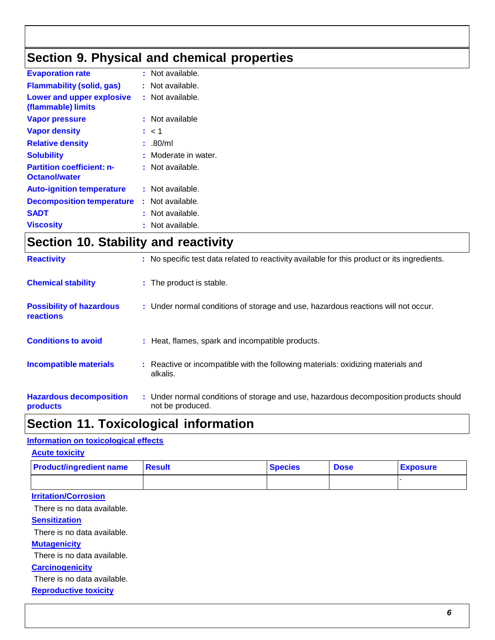# **Section 9. Physical and chemical properties**

| <b>Evaporation rate</b>                                  | : Not available.     |
|----------------------------------------------------------|----------------------|
| <b>Flammability (solid, gas)</b>                         | : Not available.     |
| Lower and upper explosive<br>(flammable) limits          | : Not available.     |
| <b>Vapor pressure</b>                                    | : Not available      |
| <b>Vapor density</b>                                     | : < 1                |
| <b>Relative density</b>                                  | : .80/ml             |
| <b>Solubility</b>                                        | : Moderate in water. |
| <b>Partition coefficient: n-</b><br><b>Octanol/water</b> | : Not available.     |
| <b>Auto-ignition temperature</b>                         | : Not available.     |
| <b>Decomposition temperature</b>                         | : Not available.     |
| <b>SADT</b>                                              | : Not available.     |
| <b>Viscosity</b>                                         | : Not available.     |

# **Section 10. Stability and reactivity**

| <b>Reactivity</b>                            | : No specific test data related to reactivity available for this product or its ingredients.              |
|----------------------------------------------|-----------------------------------------------------------------------------------------------------------|
| <b>Chemical stability</b>                    | : The product is stable.                                                                                  |
| <b>Possibility of hazardous</b><br>reactions | : Under normal conditions of storage and use, hazardous reactions will not occur.                         |
| <b>Conditions to avoid</b>                   | : Heat, flames, spark and incompatible products.                                                          |
| <b>Incompatible materials</b>                | : Reactive or incompatible with the following materials: oxidizing materials and<br>alkalis.              |
| <b>Hazardous decomposition</b><br>products   | : Under normal conditions of storage and use, hazardous decomposition products should<br>not be produced. |

# **Section 11. Toxicological information**

#### **Information on toxicological effects**

| <b>Acute toxicity</b>          |        |                |             |                 |
|--------------------------------|--------|----------------|-------------|-----------------|
| <b>Product/ingredient name</b> | Result | <b>Species</b> | <b>Dose</b> | <b>Exposure</b> |
|                                |        |                |             |                 |

#### **Irritation/Corrosion**

There is no data available.

#### **Sensitization**

There is no data available.

#### **Mutagenicity**

There is no data available.

#### **Carcinogenicity**

There is no data available.

**Reproductive toxicity**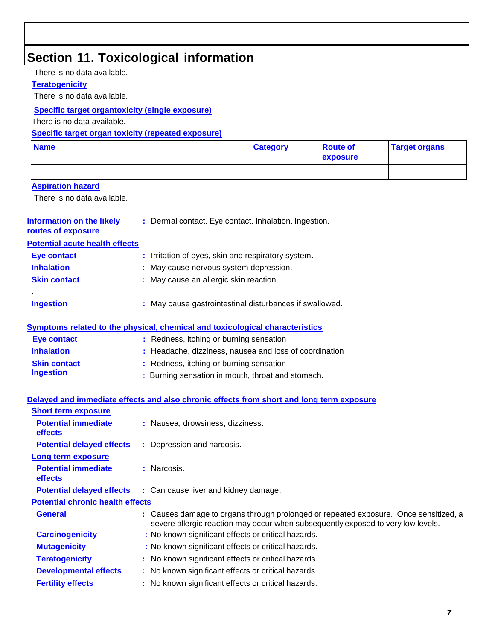## **Section 11. Toxicological information**

There is no data available.

#### **Teratogenicity**

There is no data available.

#### **Specific target organtoxicity (single exposure)**

There is no data available.

#### **Specific target organ toxicity (repeated exposure)**

| <b>Name</b> | <b>Category</b> | <b>Route of</b><br><b>exposure</b> | <b>Target organs</b> |
|-------------|-----------------|------------------------------------|----------------------|
|             |                 |                                    |                      |

#### **Aspiration hazard**

There is no data available.

| Information on the likely<br>routes of exposure | : Dermal contact. Eye contact. Inhalation. Ingestion.   |
|-------------------------------------------------|---------------------------------------------------------|
| <b>Potential acute health effects</b>           |                                                         |
| Eye contact                                     | : Irritation of eyes, skin and respiratory system.      |
| <b>Inhalation</b>                               | : May cause nervous system depression.                  |
| <b>Skin contact</b>                             | : May cause an allergic skin reaction                   |
|                                                 |                                                         |
| <b>Ingestion</b>                                | : May cause gastrointestinal disturbances if swallowed. |
|                                                 |                                                         |

#### **Symptoms related to the physical, chemical and toxicological characteristics**

| <b>Eye contact</b>  | : Redness, itching or burning sensation                |
|---------------------|--------------------------------------------------------|
| <b>Inhalation</b>   | : Headache, dizziness, nausea and loss of coordination |
| <b>Skin contact</b> | : Redness, itching or burning sensation                |
| <b>Ingestion</b>    | : Burning sensation in mouth, throat and stomach.      |

#### **Delayed and immediate effects and also chronic effects from short and long term exposure**

| : Nausea, drowsiness, dizziness.                                                                                                                                         |
|--------------------------------------------------------------------------------------------------------------------------------------------------------------------------|
| : Depression and narcosis.                                                                                                                                               |
|                                                                                                                                                                          |
| : Narcosis.                                                                                                                                                              |
| : Can cause liver and kidney damage.                                                                                                                                     |
| <b>Potential chronic health effects</b>                                                                                                                                  |
| : Causes damage to organs through prolonged or repeated exposure. Once sensitized, a<br>severe allergic reaction may occur when subsequently exposed to very low levels. |
| : No known significant effects or critical hazards.                                                                                                                      |
| : No known significant effects or critical hazards.                                                                                                                      |
| : No known significant effects or critical hazards.                                                                                                                      |
| : No known significant effects or critical hazards.                                                                                                                      |
| : No known significant effects or critical hazards.                                                                                                                      |
|                                                                                                                                                                          |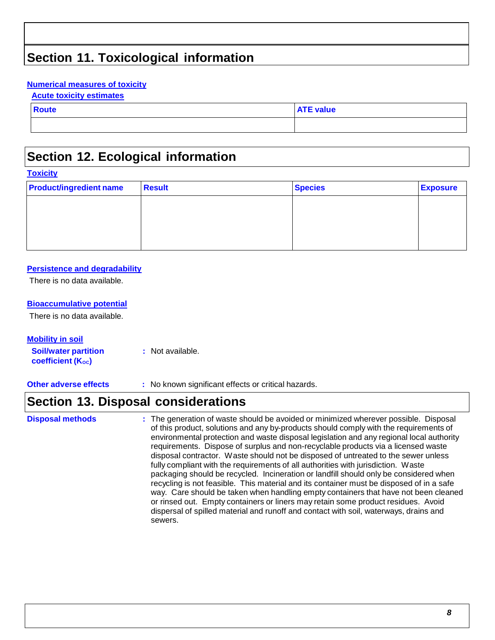# **Section 11. Toxicological information**

#### **Numerical measures of toxicity**

#### **Acute toxicity estimates**

| <b>Route</b> | <b>ATE value</b> |
|--------------|------------------|
|              |                  |

### **Section 12. Ecological information**

# **Toxicity Product/ingredient name** Result **Result Result Result Species Exposure**

#### **Persistence and degradability**

There is no data available.

#### **Bioaccumulative potential**

There is no data available.

**Mobility in soil Soil/water partition coefficient** (K<sub>oc</sub>) **:** Not available.

**Other adverse effects :** No known significant effects or critical hazards.

#### **Section 13. Disposal considerations**

**Disposal methods :** The generation of waste should be avoided or minimized wherever possible. Disposal of this product, solutions and any by-products should comply with the requirements of environmental protection and waste disposal legislation and any regional local authority requirements. Dispose of surplus and non-recyclable products via a licensed waste disposal contractor. Waste should not be disposed of untreated to the sewer unless fully compliant with the requirements of all authorities with jurisdiction. Waste packaging should be recycled. Incineration or landfill should only be considered when recycling is not feasible. This material and its container must be disposed of in a safe way. Care should be taken when handling empty containers that have not been cleaned or rinsed out. Empty containers or liners may retain some product residues. Avoid dispersal of spilled material and runoff and contact with soil, waterways, drains and sewers.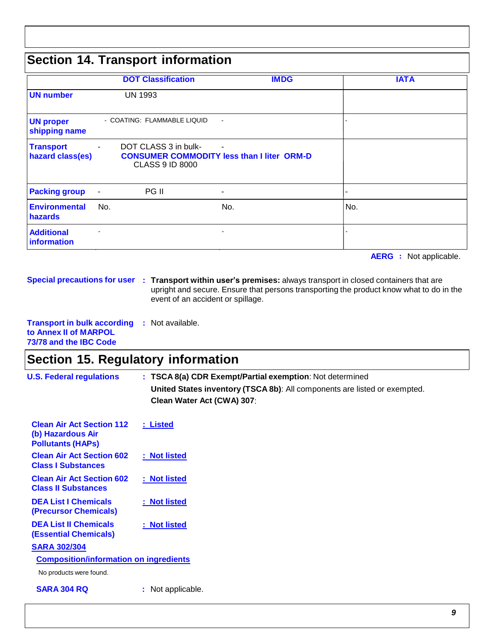# **Section 14. Transport information**

|                                      |                              | <b>DOT Classification</b>                                                                           |                | <b>IMDG</b> |                | <b>IATA</b> |
|--------------------------------------|------------------------------|-----------------------------------------------------------------------------------------------------|----------------|-------------|----------------|-------------|
| <b>UN number</b>                     |                              | <b>UN 1993</b>                                                                                      |                |             |                |             |
| <b>UN proper</b><br>shipping name    |                              | - COATING: FLAMMABLE LIQUID                                                                         | $\blacksquare$ |             |                |             |
| <b>Transport</b><br>hazard class(es) | $\overline{\phantom{a}}$     | DOT CLASS 3 in bulk-<br><b>CONSUMER COMMODITY less than I liter ORM-D</b><br><b>CLASS 9 ID 8000</b> | $\blacksquare$ |             |                |             |
| <b>Packing group</b>                 | $\blacksquare$               | PG II                                                                                               | $\blacksquare$ |             | $\blacksquare$ |             |
| <b>Environmental</b><br>hazards      | No.                          |                                                                                                     | No.            |             | No.            |             |
| <b>Additional</b><br>information     | $\qquad \qquad \blacksquare$ |                                                                                                     | -              |             |                |             |

**AERG :** Not applicable.

**Special precautions for user : Transport within user's premises:** always transport in closed containers that are upright and secure. Ensure that persons transporting the product know what to do in the event of an accident or spillage.

**Transport in bulk according :** Not available. **to Annex II of MARPOL 73/78 and the IBC Code**

## **Section 15. Regulatory information**

| <b>U.S. Federal regulations</b>                                                   | : TSCA 8(a) CDR Exempt/Partial exemption: Not determined                  |  |  |  |  |  |  |  |
|-----------------------------------------------------------------------------------|---------------------------------------------------------------------------|--|--|--|--|--|--|--|
|                                                                                   | United States inventory (TSCA 8b): All components are listed or exempted. |  |  |  |  |  |  |  |
|                                                                                   | Clean Water Act (CWA) 307:                                                |  |  |  |  |  |  |  |
| <b>Clean Air Act Section 112</b><br>(b) Hazardous Air<br><b>Pollutants (HAPS)</b> | : Listed                                                                  |  |  |  |  |  |  |  |
| <b>Clean Air Act Section 602</b><br><b>Class I Substances</b>                     | : Not listed                                                              |  |  |  |  |  |  |  |
| <b>Clean Air Act Section 602</b><br><b>Class II Substances</b>                    | : Not listed                                                              |  |  |  |  |  |  |  |
| <b>DEA List I Chemicals</b><br><b>(Precursor Chemicals)</b>                       | : Not listed                                                              |  |  |  |  |  |  |  |
| <b>DEA List II Chemicals</b><br><b>(Essential Chemicals)</b>                      | : Not listed                                                              |  |  |  |  |  |  |  |
| <b>SARA 302/304</b>                                                               |                                                                           |  |  |  |  |  |  |  |
| <b>Composition/information on ingredients</b>                                     |                                                                           |  |  |  |  |  |  |  |
| No products were found.                                                           |                                                                           |  |  |  |  |  |  |  |
| <b>SARA 304 RQ</b>                                                                | : Not applicable.                                                         |  |  |  |  |  |  |  |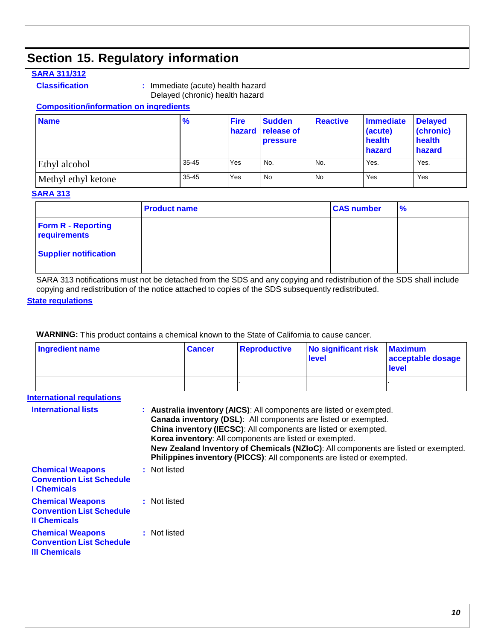# **Section 15. Regulatory information**

#### **SARA 311/312**

**Classification :** Immediate (acute) health hazard Delayed (chronic) health hazard

#### **Composition/information on ingredients**

| <b>Name</b>         | $\frac{9}{6}$ | <b>Fire</b> | <b>Sudden</b><br>hazard release of<br><b>pressure</b> | <b>Reactive</b> | Immediate<br>(acute)<br>health<br>hazard | <b>Delayed</b><br>(chronic)<br>health<br>hazard |
|---------------------|---------------|-------------|-------------------------------------------------------|-----------------|------------------------------------------|-------------------------------------------------|
| Ethyl alcohol       | $35 - 45$     | Yes         | No.                                                   | No.             | Yes.                                     | Yes.                                            |
| Methyl ethyl ketone | $35 - 45$     | Yes         | <b>No</b>                                             | No              | Yes                                      | Yes                                             |

#### **SARA 313**

|                                           | <b>Product name</b> | <b>CAS number</b> | $\frac{9}{6}$ |
|-------------------------------------------|---------------------|-------------------|---------------|
| <b>Form R - Reporting</b><br>requirements |                     |                   |               |
| <b>Supplier notification</b>              |                     |                   |               |

SARA 313 notifications must not be detached from the SDS and any copying and redistribution of the SDS shall include copying and redistribution of the notice attached to copies of the SDS subsequently redistributed.

#### **State regulations**

**WARNING:** This product contains a chemical known to the State of California to cause cancer.

| Ingredient name | <b>Cancer</b> | Reproductive | No significant risk<br>level | <b>Maximum</b><br>acceptable dosage<br>level |
|-----------------|---------------|--------------|------------------------------|----------------------------------------------|
|                 |               |              |                              |                                              |

#### **International regulations**

| <b>International lists</b>                                                         | : Australia inventory (AICS): All components are listed or exempted.<br>Canada inventory (DSL): All components are listed or exempted.<br>China inventory (IECSC): All components are listed or exempted.<br>Korea inventory: All components are listed or exempted.<br>New Zealand Inventory of Chemicals (NZIoC): All components are listed or exempted.<br>Philippines inventory (PICCS): All components are listed or exempted. |
|------------------------------------------------------------------------------------|-------------------------------------------------------------------------------------------------------------------------------------------------------------------------------------------------------------------------------------------------------------------------------------------------------------------------------------------------------------------------------------------------------------------------------------|
| <b>Chemical Weapons</b><br><b>Convention List Schedule</b><br><b>I</b> Chemicals   | : Not listed                                                                                                                                                                                                                                                                                                                                                                                                                        |
| <b>Chemical Weapons</b><br><b>Convention List Schedule</b><br><b>Il Chemicals</b>  | : Not listed                                                                                                                                                                                                                                                                                                                                                                                                                        |
| <b>Chemical Weapons</b><br><b>Convention List Schedule</b><br><b>III Chemicals</b> | : Not listed                                                                                                                                                                                                                                                                                                                                                                                                                        |